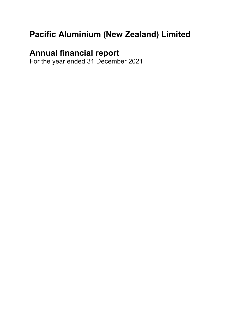# **Pacific Aluminium (New Zealand) Limited**

# **Annual financial report**

For the year ended 31 December 2021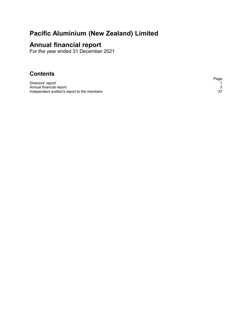# **Pacific Aluminium (New Zealand) Limited**

# **Annual financial report**

For the year ended 31 December 2021

# **Contents**

Directors' report<br>
Annual financial report<br>
Independent auditor's report to the members<br>
37 Annual financial report Independent auditor's report to the members

Page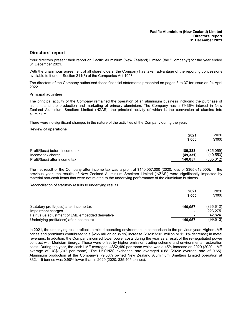## <span id="page-2-0"></span>**Directors' report**

Your directors present their report on Pacific Aluminium (New Zealand) Limited (the "Company") for the year ended 31 December 2021.

With the unanimous agreement of all shareholders, the Company has taken advantage of the reporting concessions available to it under Section 211(3) of the Companies Act 1993.

The directors of the Company authorised these financial statements presented on pages 3 to 37 for issue on 04 April 2022.

#### **Principal activities**

The principal activity of the Company remained the operation of an aluminium business including the purchase of alumina and the production and marketing of primary aluminium. The Company has a 79.36% interest in New Zealand Aluminium Smelters Limited (NZAS), the principal activity of which is the conversion of alumina into aluminium.

There were no significant changes in the nature of the activities of the Company during the year.

#### **Review of operations**

|                                                      | 2021<br>\$'000      | 2020<br>\$'000         |
|------------------------------------------------------|---------------------|------------------------|
| Profit/(loss) before income tax<br>Income tax charge | 189.388<br>(49.331) | (325,059)<br>(40, 553) |
| Profit/(loss) after income tax                       | 140.057             | (365,612)              |

The net result of the Company after income tax was a profit of \$140,057,000 (2020: loss of \$365,612,000). In the previous year, the results of New Zealand Aluminium Smelters Limited ('NZAS') were significantly impacted by material non-cash items that were not related to the underlying performance of the aluminium business.

Reconciliation of statutory results to underlying results

|                                                  | 2021    | 2020      |
|--------------------------------------------------|---------|-----------|
|                                                  | \$'000  | \$'000    |
| Statutory profit/(loss) after income tax         | 140.057 | (365,612) |
| Impairment charges                               |         | 223.275   |
| Fair value adjustment of LME embedded derivative |         | 42.824    |
| Underlying profit/(loss) after income tax        | 140.057 | (99, 513) |

In 2021, the underlying result reflects a mixed operating environment in comparison to the previous year. Higher LME prices and premiums contributed to a \$265 million or 35.9% increase (2020: \$102 million or 12.1% decrease) in metal revenues. In addition, the Company incurred lower power costs during the year as a result of the re-negotiated power contract with Meridian Energy. These were offset by higher emission trading scheme and environmental restoration costs. During the year, the cash LME averaged US\$2,480 per tonne which was a 45% increase on 2020 (2020: LME average of US\$1,707 per tonne). The US\$:NZ\$ exchange rate averaged 0.68 (2020: average rate of 0.65). Aluminium production at the Company's 79.36% owned New Zealand Aluminium Smelters Limited operation at 332,115 tonnes was 0.98% lower than in 2020 (2020: 335,405 tonnes).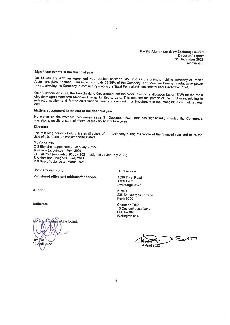**Pacific Aluminium (New Zealand) Limited** Directors' report 31 December 2021 (continued)

#### Significant events in the financial vear

On 14 January 2021 an agreement was reached between Rio Tinto as the ultimate holding company of Pacific Aluminium (New Zealand) Limited, which holds 79.36% of the Company, and Meridian Energy in relation to power prices, allowing the Company to continue operating the Tiwai Point aluminium smelter until December 2024.

On 13 December 2021, the New Zealand Government set the NZAS electricity allocation factor (EAF) for the main electricity agreement with Meridian Energy Limited to zero. This reduced the portion of the ETS grant relating to indirect allocation to nil for the 2021 financial year and resulted in an impairment of the intangible asset held at year end.

# Matters subsequent to the end of the financial year

No matter or circumstance has arisen since 31 December 2021 that has significantly affected the Company's operations, results or state of affairs, or may do so in future years.

#### **Directors**

The following persons held office as directors of the Company during the whole of the financial year and up to the date of this report, unless otherwise stated:

P J Checketts C S Blenkiron (appointed 22 January 2022) M Gwisai (appointed 1 April 2021) J E Tatkovic (appointed 10 July 2021, resigned 21 January 2022) S A Hamilton (resigned 9 July 2021) R G Prest (resigned 31 March 2021)

**Company secretary** 

D Johnstone

Registered office and address for service

**Auditor** 

**Solicitors** 

of the Board. Director 04 April 2022

1530 Tiwai Road **Tiwai Point** Invercargill 9877

**KPMG** 235 St. Georges Terrace **Perth 6000** 

Chapman Tripp 10 Customhouse Quay PO Box 993 Wellington 6140

 $\sqrt{2}$ 04 April 2022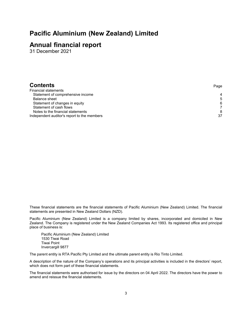# **Pacific Aluminium (New Zealand) Limited**

# **Annual financial report**

31 December 2021

| <b>Contents</b>                             | Page |
|---------------------------------------------|------|
| Financial statements                        |      |
| Statement of comprehensive income           | 4    |
| Balance sheet                               | 5    |
| Statement of changes in equity              | 6    |
| Statement of cash flows                     |      |
| Notes to the financial statements           | 8    |
| Independent auditor's report to the members | 37   |
|                                             |      |

These financial statements are the financial statements of Pacific Aluminium (New Zealand) Limited. The financial statements are presented in New Zealand Dollars (NZD).

Pacific Aluminium (New Zealand) Limited is a company limited by shares, incorporated and domiciled in New Zealand. The Company is registered under the New Zealand Companies Act 1993. Its registered office and principal place of business is:

Pacific Aluminium (New Zealand) Limited 1530 Tiwai Road Tiwai Point Invercargill 9877

The parent entity is RTA Pacific Pty Limited and the ultimate parent entity is Rio Tinto Limited.

A description of the nature of the Company's operations and its principal activities is included in the directors' report, which does not form part of these financial statements.

The financial statements were authorised for issue by the directors on 04 April 2022. The directors have the power to amend and reissue the financial statements.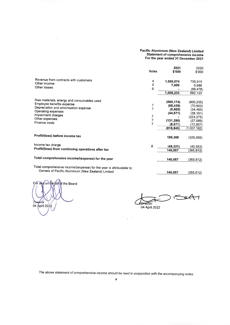# **Pacific Aluminium (New Zealand) Limited** Statement of comprehensive income<br>For the year ended 31 December 2021

|                                                                       | <b>Notes</b> | 2021<br>\$'000       | 2020<br>\$'000 |
|-----------------------------------------------------------------------|--------------|----------------------|----------------|
| Revenue from contracts with customers                                 | 4            | 1,000,574            | 735,915        |
| Other income                                                          | 5            | 7,659                | 5,686          |
| Other losses                                                          | 6            |                      | (59, 478)      |
|                                                                       |              | 1,008,233            | 682,123        |
| Raw materials, energy and consumables used                            |              | (560, 174)           |                |
| Employee benefits expense                                             |              |                      | (600, 235)     |
| Depreciation and amortisation expense                                 | 7<br>7       | (68, 439)<br>(5,805) | (70, 600)      |
| Operating expenses                                                    |              |                      | (34, 485)      |
| Impairment charges                                                    | 7            | (44.571)             | (38, 191)      |
| Other expenses                                                        | 7            |                      | (223, 275)     |
| Finance costs                                                         | 7            | (131, 285)           | (27, 589)      |
|                                                                       |              | (8.571)              | (12, 807)      |
|                                                                       |              | (818, 845)           | (1,007,182)    |
| Profit/(loss) before income tax                                       |              | 189,388              | (325, 059)     |
| Income tax charge                                                     | 8            | (49, 331)            | (40, 553)      |
| Profit/(loss) from continuing operations after tax                    |              | 140,057              | (365, 612)     |
|                                                                       |              |                      |                |
| Total comprehensive income/(expense) for the year                     |              | 140,057              | (365, 612)     |
| Total comprehensive income/(expense) for the year is attributable to: |              |                      |                |
| Owners of Pacific Aluminium (New Zealand) Limited                     |              | 140,057              | (365, 612)     |

alf of the Board or étór Dir 04 April 2022

 $\lambda$ 

 $\leftarrow$  $\mathcal{C}$  $\overline{\phantom{a}}$ **Director** 

04 April 2022

The above statement of comprehensive income should be read in conjunction with the accompanying notes.

x

 $\bar{z}$  $\ddot{\phantom{1}}$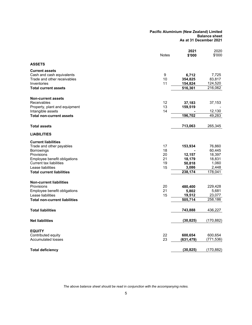#### **Pacific Aluminium (New Zealand) Limited Balance sheet As at 31 December 2021**

|                                      | <b>Notes</b> | 2021<br>\$'000 | 2020<br>\$'000 |
|--------------------------------------|--------------|----------------|----------------|
| <b>ASSETS</b>                        |              |                |                |
| <b>Current assets</b>                |              |                |                |
| Cash and cash equivalents            | 9            | 6,712          | 7,725          |
| Trade and other receivables          | 10           | 354,825        | 83,817         |
| Inventories                          | 11           | 154,824        | 124,520        |
| <b>Total current assets</b>          |              | 516,361        | 216,062        |
| <b>Non-current assets</b>            |              |                |                |
| Receivables                          | 12           | 37,183         | 37,153         |
| Property, plant and equipment        | 13           | 159,519        |                |
| Intangible assets                    | 14           |                | 12,130         |
| <b>Total non-current assets</b>      |              | 196,702        | 49,283         |
| <b>Total assets</b>                  |              | 713,063        | 265,345        |
| <b>LIABILITIES</b>                   |              |                |                |
| <b>Current liabilities</b>           |              |                |                |
| Trade and other payables             | 17           | 153,934        | 76,860         |
| <b>Borrowings</b>                    | 18           |                | 60,445         |
| Provisions                           | 20           | 12,157         | 18,397         |
| Employee benefit obligations         | 21           | 18,179         | 18,831         |
| <b>Current tax liabilities</b>       | 19           | 50,818         | 1,060          |
| Lease liabilities                    | 15           | 3,086          | 2,448          |
| <b>Total current liabilities</b>     |              | 238,174        | 178,041        |
| <b>Non-current liabilities</b>       |              |                |                |
| Provisions                           | 20           | 480,400        | 229,428        |
| Employee benefit obligations         | 21           | 5,802          | 5,681          |
| Lease liabilities                    | 15           | 19,512         | 23,077         |
| <b>Total non-current liabilities</b> |              | 505,714        | 258,186        |
| <b>Total liabilities</b>             |              | 743,888        | 436,227        |
| <b>Net liabilities</b>               |              | (30, 825)      | (170, 882)     |
| <b>EQUITY</b>                        |              |                |                |
| Contributed equity                   | 22           | 600,654        | 600,654        |
| <b>Accumulated losses</b>            | 23           | (631, 479)     | (771, 536)     |
| <b>Total deficiency</b>              |              | (30, 825)      | (170, 882)     |

*The above balance sheet should be read in conjunction with the accompanying notes.*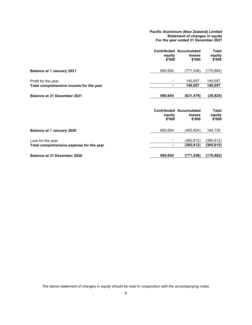**Pacific Aluminium (New Zealand) Limited Statement of changes in equity For the year ended 31 December 2021**

|                                                                | equity<br>\$'000 | <b>Contributed Accumulated</b><br><b>losses</b><br>\$'000 | <b>Total</b><br>equity<br>\$'000 |
|----------------------------------------------------------------|------------------|-----------------------------------------------------------|----------------------------------|
| <b>Balance at 1 January 2021</b>                               | 600,654          | (771,536)                                                 | (170, 882)                       |
| Profit for the year<br>Total comprehensive income for the year | ۰                | 140,057<br>140,057                                        | 140,057<br>140,057               |
| <b>Balance at 31 December 2021</b>                             | 600,654          | (631, 479)                                                | (30, 825)                        |
|                                                                | equity<br>\$'000 | <b>Contributed Accumulated</b><br>losses<br>\$'000        | <b>Total</b><br>equity<br>\$'000 |
| <b>Balance at 1 January 2020</b>                               | 600,654          | (405,924)                                                 | 194,730                          |
| Loss for the year<br>Total comprehensive expense for the year  | -<br>٠           | (365,612)<br>(365,612)                                    | (365, 612)<br>(365, 612)         |
| <b>Balance at 31 December 2020</b>                             | 600,654          | (771,536)                                                 | (170, 882)                       |

*The above statement of changes in equity should be read in conjunction with the accompanying notes.*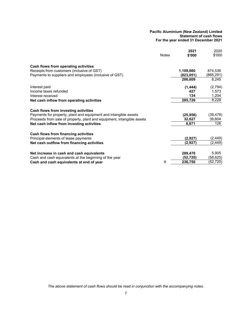#### **Pacific Aluminium (New Zealand) Limited Statement of cash flows For the year ended 31 December 2021**

|                                                                        | <b>Notes</b> | 2021<br>\$'000 | 2020<br>\$'000 |
|------------------------------------------------------------------------|--------------|----------------|----------------|
|                                                                        |              |                |                |
| Cash flows from operating activities                                   |              |                |                |
| Receipts from customers (inclusive of GST)                             |              | 1,109,660      | 874,536        |
| Payments to suppliers and employees (inclusive of GST)                 |              | (823,051)      | (866,291)      |
|                                                                        |              | 286,609        | 8,245          |
| Interest paid                                                          |              | (1, 444)       | (2,794)        |
| Income taxes refunded                                                  |              | 427            | 1,573          |
| Interest received                                                      |              | 134            | 1,204          |
| Net cash inflow from operating activities                              |              | 285,726        | 8,228          |
| Cash flows from investing activities                                   |              |                |                |
| Payments for property, plant and equipment and intangible assets       |              | (25, 956)      | (39, 478)      |
| Proceeds from sale of property, plant and equipment, intangible assets |              | 32,627         | 39,604         |
| Net cash inflow from investing activities                              |              | 6,671          | 126            |
| Cash flows from financing activities                                   |              |                |                |
| Principal elements of lease payments                                   |              | (2,927)        | (2, 449)       |
| Net cash outflow from financing activities                             |              | (2,927)        | (2, 449)       |
| Net increase in cash and cash equivalents                              |              | 289,470        | 5,905          |
| Cash and cash equivalents at the beginning of the year                 |              | (52,720)       | (58, 625)      |
| Cash and cash equivalents at end of year                               | 9            | 236,750        | (52, 720)      |

*The above statement of cash flows should be read in conjunction with the accompanying notes.*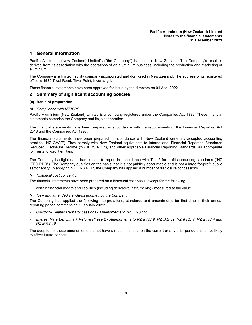# **1 General information**

Pacific Aluminium (New Zealand) Limited's ("the Company") is based in New Zealand. The Company's result is derived from its association with the operations of an aluminium business, including the production and marketing of aluminium.

The Company is a limited liability company incorporated and domiciled in New Zealand. The address of its registered office is 1530 Tiwai Road, Tiwai Point, Invercargill.

These financial statements have been approved for issue by the directors on 04 April 2022.

## **2 Summary of significant accounting policies**

#### **(a) Basis of preparation**

*(i) Compliance with NZ IFRS*

Pacific Aluminium (New Zealand) Limited is a company registered under the Companies Act 1993. These financial statements comprise the Company and its joint operation.

The financial statements have been prepared in accordance with the requirements of the Financial Reporting Act 2013 and the Companies Act 1993.

The financial statements have been prepared in accordance with New Zealand generally accepted accounting practice ('NZ GAAP'). They comply with New Zealand equivalents to International Financial Reporting Standards Reduced Disclosure Regime ('NZ IFRS RDR'), and other applicable Financial Reporting Standards, as appropriate for Tier 2 for-profit entities.

The Company is eligible and has elected to report in accordance with Tier 2 for-profit accounting standards ("NZ IFRS RDR"). The Company qualifies on the basis that it is not publicly accountable and is not a large for-profit public sector entity. In applying NZ IFRS RDR, the Company has applied a number of disclosure concessions.

#### *(ii) Historical cost convention*

The financial statements have been prepared on a historical cost basis, except for the following:

• certain financial assets and liabilities (including derivative instruments) - measured at fair value

*(iii) New and amended standards adopted by the Company*

The Company has applied the following interpretations, standards and amendments for first time in their annual reporting period commencing 1 January 2021:

- *Covid-19-Related Rent Concessions - Amendments to NZ IFRS 16;*
- Interest Rate Benchmark Reform Phase 2 Amendments to NZ IFRS 9, NZ IAS 39, NZ IFRS 7, NZ IFRS 4 and *NZ IFRS 16;*

The adoption of these amendments did not have a material impact on the current or any prior period and is not likely to affect future periods.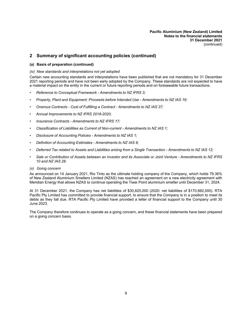# **2 Summary of significant accounting policies (continued)**

#### **(a) Basis of preparation (continued)**

#### *(iv) New standards and interpretations not yet adopted*

Certain new accounting standards and interpretations have been published that are not mandatory for 31 December 2021 reporting periods and have not been early adopted by the Company. These standards are not expected to have a material impact on the entity in the current or future reporting periods and on foreseeable future transactions.

- *Reference to Conceptual Framework - Amendments to NZ IFRS 3;*
- *Property, Plant and Equipment: Proceeds before Intended Use - Amendments to NZ IAS 16;*
- *Onerous Contracts - Cost of Fulfilling a Contract - Amendments to NZ IAS 37;*
- *Annual Improvements to NZ IFRS 2018-2020;*
- *Insurance Contracts - Amendments to NZ IFRS 17;*
- *Classification of Liabilities as Current of Non-current - Amendments to NZ IAS 1;*
- *Disclosure of Accounting Policies - Amendments to NZ IAS 1;*
- *Definition of Accounting Estimates - Amendments to NZ IAS 8;*
- Deferred Tax related to Assets and Liabilities arising from a Single Transaction Amendments to NZ IAS 12;
- Sale or Contribution of Assets between an Investor and its Associate or Joint Venture Amendments to NZ IFRS *10 and NZ IAS 28.*

#### *(v) Going concern*

As announced on 14 January 2021, Rio Tinto as the ultimate holding company of the Company, which holds 79.36% of New Zealand Aluminium Smelters Limited (NZAS) has reached an agreement on a new electricity agreement with Meridian Energy that allows NZAS to continue operating the Tiwai Point aluminium smelter until December 31, 2024.

At 31 December 2021, the Company has net liabilities of \$30,825,000 (2020: net liabilities of \$170,882,000). RTA Pacific Pty Limited has committed to provide financial support, to ensure that the Company is in a position to meet its debts as they fall due. RTA Pacific Pty Limited have provided a letter of financial support to the Company until 30 June 2023.

The Company therefore continues to operate as a going concern, and these financial statements have been prepared on a going concern basis.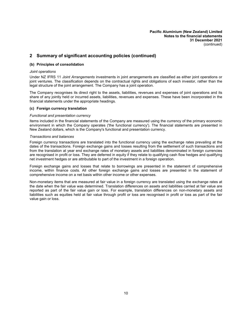# **2 Summary of significant accounting policies (continued)**

#### **(b) Principles of consolidation**

#### *Joint operations*

Under NZ IFRS 11 *Joint Arrangements* investments in joint arrangements are classified as either joint operations or joint ventures. The classification depends on the contractual rights and obligations of each investor, rather than the legal structure of the joint arrangement. The Company has a joint operation.

The Company recognises its direct right to the assets, liabilities, revenues and expenses of joint operations and its share of any jointly held or incurred assets, liabilities, revenues and expenses. These have been incorporated in the financial statements under the appropriate headings.

#### **(c) Foreign currency translation**

#### *Functional and presentation currency*

Items included in the financial statements of the Company are measured using the currency of the primary economic environment in which the Company operates ('the functional currency'). The financial statements are presented in New Zealand dollars, which is the Company's functional and presentation currency.

#### *Transactions and balances*

Foreign currency transactions are translated into the functional currency using the exchange rates prevailing at the dates of the transactions. Foreign exchange gains and losses resulting from the settlement of such transactions and from the translation at year end exchange rates of monetary assets and liabilities denominated in foreign currencies are recognised in profit or loss. They are deferred in equity if they relate to qualifying cash flow hedges and qualifying net investment hedges or are attributable to part of the investment in a foreign operation.

Foreign exchange gains and losses that relate to borrowings are presented in the statement of comprehensive income, within finance costs. All other foreign exchange gains and losses are presented in the statement of comprehensive income on a net basis within other income or other expenses.

Non-monetary items that are measured at fair value in a foreign currency are translated using the exchange rates at the date when the fair value was determined. Translation differences on assets and liabilities carried at fair value are reported as part of the fair value gain or loss. For example, translation differences on non-monetary assets and liabilities such as equities held at fair value through profit or loss are recognised in profit or loss as part of the fair value gain or loss.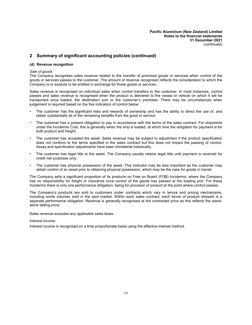# **2 Summary of significant accounting policies (continued)**

#### **(d) Revenue recognition**

#### *Sale of goods*

The Company recognises sales revenue related to the transfer of promised goods or services when control of the goods or services passes to the customer. The amount of revenue recognised reflects the consideration to which the Company is or expects to be entitled in exchange for those goods or services.

Sales revenue is recognised on individual sales when control transfers to the customer. In most instances, control passes and sales revenue is recognised when the product is delivered to the vessel or vehicle on which it will be transported once loaded, the destination port or the customer's premises. There may be circumstances when judgement is required based on the five indicators of control below:

- The customer has the significant risks and rewards of ownership and has the ability to direct the use of, and obtain substantially all of the remaining benefits from the good or service;
- The customer has a present obligation to pay in accordance with the terms of the sales contract. For shipments under the Incoterms Cost, this is generally when the ship is loaded, at which time the obligation for payment is for both product and freight;
- The customer has accepted the asset. Sales revenue may be subject to adjustment if the product specification does not conform to the terms specified in the sales contract but this does not impact the passing of control. Assay and specification adjustments have been immaterial historically;
- The customer has legal title to the asset. The Company usually retains legal title until payment is received for credit risk purposes only;
- The customer has physical possession of the asset. This indicator may be less important as the customer may obtain control of an asset prior to obtaining physical possession, which may be the case for goods in transit.

The Company sells a significant proportion of its products on Free on Board (FOB) Incoterms, where the Company has no responsibility for freight or insurance once control of the goods has passed at the loading port. For these Incoterms there is only one performance obligation, being for provision of product at the point where control passes.

The Company's products are sold to customers under contracts which vary in tenure and pricing mechanisms, including some volumes sold in the spot market. Within each sales contract, each tonne of product shipped is a separate performance obligation. Revenue is generally recognised at the contracted price as this reflects the standalone selling price.

Sales revenue excludes any applicable sales taxes.

#### *Interest income*

Interest income is recognised on a time proportionate basis using the effective interest method.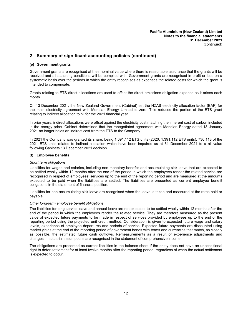# **2 Summary of significant accounting policies (continued)**

#### **(e) Government grants**

Government grants are recognised at their nominal value where there is reasonable assurance that the grants will be received and all attaching conditions will be complied with. Government grants are recognised in profit or loss on a systematic basis over the periods in which the entity recognises as expenses the related costs for which the grant is intended to compensate.

Grants relating to ETS direct allocations are used to offset the direct emissions obligation expense as it arises each month.

On 13 December 2021, the New Zealand Government (Cabinet) set the NZAS electricity allocation factor (EAF) for the main electricity agreement with Meridian Energy Limited to zero. This reduced the portion of the ETS grant relating to indirect allocation to nil for the 2021 financial year.

In prior years, indirect allocations were offset against the electricity cost matching the inherent cost of carbon included in the energy price. Cabinet determined that the renegotiated agreement with Meridian Energy dated 13 January 2021 no longer holds an indirect cost from the ETS to the Company.

In 2021 the Company was granted its share, being 1,091,112 ETS units (2020: 1,391,112 ETS units). 736,118 of the 2021 ETS units related to indirect allocation which have been impaired as at 31 December 2021 to a nil value following Cabinets 13 December 2021 decision.

#### **(f) Employee benefits**

#### *Short term obligations*

Liabilities for wages and salaries, including non-monetary benefits and accumulating sick leave that are expected to be settled wholly within 12 months after the end of the period in which the employees render the related service are recognised in respect of employees' services up to the end of the reporting period and are measured at the amounts expected to be paid when the liabilities are settled. The liabilities are presented as current employee benefit obligations in the statement of financial position.

Liabilities for non-accumulating sick leave are recognised when the leave is taken and measured at the rates paid or payable.

#### *Other long-term employee benefit obligations*

The liabilities for long service leave and annual leave are not expected to be settled wholly within 12 months after the end of the period in which the employees render the related service. They are therefore measured as the present value of expected future payments to be made in respect of services provided by employees up to the end of the reporting period using the projected unit credit method. Consideration is given to expected future wage and salary levels, experience of employee departures and periods of service. Expected future payments are discounted using market yields at the end of the reporting period of government bonds with terms and currencies that match, as closely as possible, the estimated future cash outflows. Remeasurements as a result of experience adjustments and changes in actuarial assumptions are recognised in the statement of comprehensive income.

The obligations are presented as current liabilities in the balance sheet if the entity does not have an unconditional right to defer settlement for at least twelve months after the reporting period, regardless of when the actual settlement is expected to occur.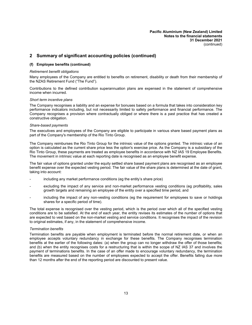# **2 Summary of significant accounting policies (continued)**

#### **(f) Employee benefits (continued)**

#### *Retirement benefit obligations*

Many employees of the Company are entitled to benefits on retirement, disability or death from their membership of the NZAS Retirement Fund ("The Fund").

Contributions to the defined contribution superannuation plans are expensed in the statement of comprehensive income when incurred.

#### *Short term incentive plans*

The Company recognises a liability and an expense for bonuses based on a formula that takes into consideration key performance indicators including, but not necessarily limited to safety performance and financial performance. The Company recognises a provision where contractually obliged or where there is a past practice that has created a constructive obligation.

#### *Share-based payments*

The executives and employees of the Company are eligible to participate in various share based payment plans as part of the Company's membership of the Rio Tinto Group.

The Company reimburses the Rio Tinto Group for the intrinsic value of the options granted. The intrinsic value of an option is calculated as the current share price less the option's exercise price. As the Company is a subsidiary of the Rio Tinto Group, these payments are treated as employee benefits in accordance with NZ IAS 19 Employee Benefits. The movement in intrinsic value at each reporting date is recognised as an employee benefit expense.

The fair value of options granted under the equity settled share based payment plans are recognised as an employee benefit expense over the expected vesting period. The fair value of the share plans is determined at the date of grant, taking into account:

- including any market performance conditions (eg the entity's share price)
- excluding the impact of any service and non-market performance vesting conditions (eg profitability, sales growth targets and remaining an employee of the entity over a specified time period, and
- including the impact of any non-vesting conditions (eg the requirement for employees to save or holdings shares for a specific period of time).

The total expense is recognised over the vesting period, which is the period over which all of the specified vesting conditions are to be satisfied. At the end of each year, the entity revises its estimates of the number of options that are expected to vest based on the non-market vesting and service conditions. It recognises the impact of the revision to original estimates, if any, in the statement of comprehensive income.

#### *Termination benefits*

Termination benefits are payable when employment is terminated before the normal retirement date, or when an employee accepts voluntary redundancy in exchange for these benefits. The Company recognises termination benefits at the earlier of the following dates: (a) when the group can no longer withdraw the offer of those benefits; and (b) when the entity recognises costs for a restructuring that is within the scope of NZ IAS 37 and involves the payment of terminations benefits. In the case of an offer made to encourage voluntary redundancy, the termination benefits are measured based on the number of employees expected to accept the offer. Benefits falling due more than 12 months after the end of the reporting period are discounted to present value.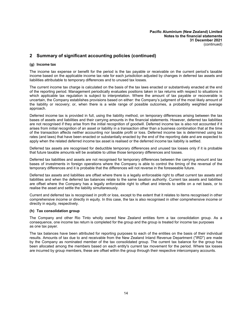# **2 Summary of significant accounting policies (continued)**

#### **(g) Income tax**

The income tax expense or benefit for the period is the tax payable or receivable on the current period's taxable income based on the applicable income tax rate for each jurisdiction adjusted by changes in deferred tax assets and liabilities attributable to temporary differences and to unused tax losses.

The current income tax charge is calculated on the basis of the tax laws enacted or substantively enacted at the end of the reporting period. Management periodically evaluates positions taken in tax returns with respect to situations in which applicable tax regulation is subject to interpretation. Where the amount of tax payable or recoverable is uncertain, the Company establishes provisions based on either: the Company's judgment of the most likely amount of the liability or recovery; or, when there is a wide range of possible outcomes, a probability weighted average approach.

Deferred income tax is provided in full, using the liability method, on temporary differences arising between the tax bases of assets and liabilities and their carrying amounts in the financial statements. However, deferred tax liabilities are not recognised if they arise from the initial recognition of goodwill. Deferred income tax is also not accounted if it arises from initial recognition of an asset or liability in a transaction other than a business combination that at the time of the transaction affects neither accounting nor taxable profit or loss. Deferred income tax is determined using tax rates (and laws) that have been enacted or substantially enacted by the end of the reporting date and are expected to apply when the related deferred income tax asset is realised or the deferred income tax liability is settled.

Deferred tax assets are recognised for deductible temporary differences and unused tax losses only if it is probable that future taxable amounts will be available to utilise those temporary differences and losses.

Deferred tax liabilities and assets are not recognised for temporary differences between the carrying amount and tax bases of investments in foreign operations where the Company is able to control the timing of the reversal of the temporary differences and it is probable that the differences will not reverse in the foreseeable future.

Deferred tax assets and liabilities are offset where there is a legally enforceable right to offset current tax assets and liabilities and when the deferred tax balances relate to the same taxation authority. Current tax assets and liabilities are offset where the Company has a legally enforceable right to offset and intends to settle on a net basis, or to realise the asset and settle the liability simultaneously.

Current and deferred tax is recognised in profit or loss, except to the extent that it relates to items recognised in other comprehensive income or directly in equity. In this case, the tax is also recognised in other comprehensive income or directly in equity, respectively.

#### **(h) Tax consolidation group**

The Company and other Rio Tinto wholly owned New Zealand entities form a tax consolidation group. As a consequence, one income tax return is completed for the group and the group is treated for income tax purposes as one tax payer.

The tax balances have been attributed for reporting purposes to each of the entities on the basis of their individual results. Amounts of tax due to and receivable from the New Zealand Inland Revenue Department ("IRD") are made by the Company as nominated member of the tax consolidated group. The current tax balance for the group has been allocated among the members based on each entity's current tax movement for the period. Where tax losses are incurred by group members, these are offset within the group through their respective intercompany accounts.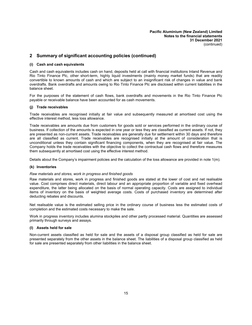# **2 Summary of significant accounting policies (continued)**

#### **(i) Cash and cash equivalents**

Cash and cash equivalents includes cash on hand, deposits held at call with financial institutions Inland Revenue and Rio Tinto Finance Plc, other short-term, highly liquid investments (mainly money market funds) that are readily convertible to known amounts of cash and which are subject to an insignificant risk of changes in value and bank overdrafts. Bank overdrafts and amounts owing to Rio Tinto Finance Plc are disclosed within current liabilities in the balance sheet.

For the purposes of the statement of cash flows, bank overdrafts and movements in the Rio Tinto Finance Plc payable or receivable balance have been accounted for as cash movements.

#### **(j) Trade receivables**

Trade receivables are recognised initially at fair value and subsequently measured at amortised cost using the effective interest method, less loss allowance.

Trade receivables are amounts due from customers for goods sold or services performed in the ordinary course of business. If collection of the amounts is expected in one year or less they are classified as current assets. If not, they are presented as non-current assets. Trade receivables are generally due for settlement within 30 days and therefore are all classified as current. Trade receivables are recognised initially at the amount of consideration that is unconditional unless they contain significant financing components, when they are recognised at fair value. The Company holds the trade receivables with the objective to collect the contractual cash flows and therefore measures them subsequently at amortised cost using the effective interest method.

Details about the Company's impairment policies and the calculation of the loss allowance are provided in note 1(m).

#### **(k) Inventories**

#### *Raw materials and stores, work in progress and finished goods*

Raw materials and stores, work in progress and finished goods are stated at the lower of cost and net realisable value. Cost comprises direct materials, direct labour and an appropriate proportion of variable and fixed overhead expenditure, the latter being allocated on the basis of normal operating capacity. Costs are assigned to individual items of inventory on the basis of weighted average costs. Costs of purchased inventory are determined after deducting rebates and discounts.

Net realisable value is the estimated selling price in the ordinary course of business less the estimated costs of completion and the estimated costs necessary to make the sale.

Work in progress inventory includes alumina stockpiles and other partly processed material. Quantities are assessed primarily through surveys and assays.

#### **(l) Assets held for sale**

Non-current assets classified as held for sale and the assets of a disposal group classified as held for sale are presented separately from the other assets in the balance sheet. The liabilities of a disposal group classified as held for sale are presented separately from other liabilities in the balance sheet.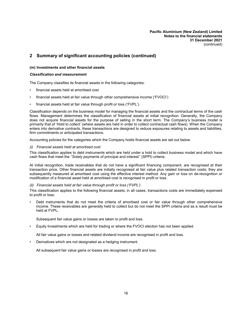# **2 Summary of significant accounting policies (continued)**

#### **(m) Investments and other financial assets**

#### *Classification and measurement*

The Company classifies its financial assets in the following categories:

- financial assets held at amortised cost
- financial assets held at fair value through other comprehensive income ('FVOCI')
- financial assets held at fair value through profit or loss ('FVPL').

Classification depends on the business model for managing the financial assets and the contractual terms of the cash flows. Management determines the classification of financial assets at initial recognition. Generally, the Company does not acquire financial assets for the purpose of selling in the short term. The Company's business model is primarily that of 'Hold to collect' (where assets are held in order to collect contractual cash flows). When the Company enters into derivative contracts, these transactions are designed to reduce exposures relating to assets and liabilities, firm commitments or anticipated transactions.

Accounting policies for the categories which the Company holds financial assets are set out below.

#### *(i) Financial assets held at amortised cost*

This classification applies to debt instruments which are held under a hold to collect business model and which have cash flows that meet the ''Solely payments of principal and interest'' (SPPI) criteria.

At initial recognition, trade receivables that do not have a significant financing component, are recognised at their transaction price. Other financial assets are initially recognised at fair value plus related transaction costs; they are subsequently measured at amortised cost using the effective interest method. Any gain or loss on de-recognition or modification of a financial asset held at amortised cost is recognised in profit or loss.

#### *(ii) Financial assets held at fair value through profit or loss ('FVPL')*

This classification applies to the following financial assets, in all cases, transactions costs are immediately expensed to profit or loss:

• Debt instruments that do not meet the criteria of amortised cost or fair value through other comprehensive income. These receivables are generally held to collect but do not meet the SPPI criteria and as a result must be held at FVPL.

Subsequent fair value gains or losses are taken to profit and loss.

• Equity Investments which are held for trading or where the FVOCI election has not been applied.

All fair value gains or losses and related dividend income are recognised in profit and loss.

• Derivatives which are not designated as a hedging instrument.

All subsequent fair value gains or losses are recognised in profit and loss.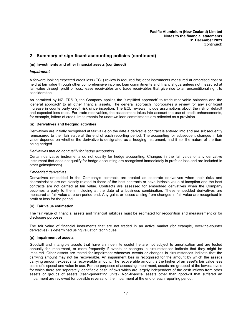# **2 Summary of significant accounting policies (continued)**

#### **(m) Investments and other financial assets (continued)**

#### *Impairment*

A forward looking expected credit loss (ECL) review is required for; debt instruments measured at amortised cost or held at fair value through other comprehensive income; loan commitments and financial guarantees not measured at fair value through profit or loss; lease receivables and trade receivables that give rise to an unconditional right to consideration.

As permitted by NZ IFRS 9, the Company applies the 'simplified approach' to trade receivable balances and the 'general approach' to all other financial assets. The general approach incorporates a review for any significant increase in counterparty credit risk since inception. The ECL reviews include assumptions about the risk of default and expected loss rates. For trade receivables, the assessment takes into account the use of credit enhancements, for example, letters of credit. Impairments for undrawn loan commitments are reflected as a provision.

#### **(n) Derivatives and hedging activities**

Derivatives are initially recognised at fair value on the date a derivative contract is entered into and are subsequently remeasured to their fair value at the end of each reporting period. The accounting for subsequent changes in fair value depends on whether the derivative is designated as a hedging instrument, and if so, the nature of the item being hedged.

#### *Derivatives that do not qualify for hedge accounting*

Certain derivative instruments do not qualify for hedge accounting. Changes in the fair value of any derivative instrument that does not qualify for hedge accounting are recognised immediately in profit or loss and are included in other gains/(losses).

#### *Embedded derivatives*

Derivatives embedded in the Company's contracts are treated as separate derivatives when their risks and characteristics are not closely related to those of the host contracts or have intrinsic value at inception and the host contracts are not carried at fair value. Contracts are assessed for embedded derivatives when the Company becomes a party to them, including at the date of a business combination. These embedded derivatives are measured at fair value at each period end. Any gains or losses arising from changes in fair value are recognised in profit or loss for the period.

#### **(o) Fair value estimation**

The fair value of financial assets and financial liabilities must be estimated for recognition and measurement or for disclosure purposes.

The fair value of financial instruments that are not traded in an active market (for example, over-the-counter derivatives) is determined using valuation techniques.

#### **(p) Impairment of assets**

Goodwill and intangible assets that have an indefinite useful life are not subject to amortisation and are tested annually for impairment, or more frequently if events or changes in circumstances indicate that they might be impaired. Other assets are tested for impairment whenever events or changes in circumstances indicate that the carrying amount may not be recoverable. An impairment loss is recognised for the amount by which the asset's carrying amount exceeds its recoverable amount. The recoverable amount is the higher of an asset's fair value less costs of disposal and value in use. For the purposes of assessing impairment, assets are grouped at the lowest levels for which there are separately identifiable cash inflows which are largely independent of the cash inflows from other assets or groups of assets (cash-generating units). Non-financial assets other than goodwill that suffered an impairment are reviewed for possible reversal of the impairment at the end of each reporting period.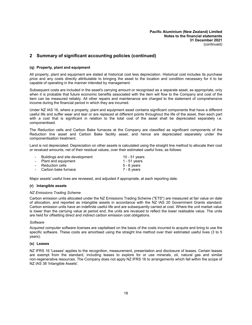# **2 Summary of significant accounting policies (continued)**

#### **(q) Property, plant and equipment**

All property, plant and equipment are stated at historical cost less depreciation. Historical cost includes its purchase price and any costs directly attributable to bringing the asset to the location and condition necessary for it to be capable of operating in the manner intended by management.

Subsequent costs are included in the asset's carrying amount or recognised as a separate asset, as appropriate, only when it is probable that future economic benefits associated with the item will flow to the Company and cost of the item can be measured reliably. All other repairs and maintenance are charged to the statement of comprehensive income during the financial period in which they are incurred.

Under NZ IAS 16, where a property, plant and equipment asset contains significant components that have a different useful life and suffer wear and tear or are replaced at different points throughout the life of the asset, then each part with a cost that is significant in relation to the total cost of the asset shall be depreciated separately i.e. componentised.

The Reduction cells and Carbon Bake furnaces at the Company are classified as significant components of the Reduction line asset and Carbon Bake facility asset, and hence are depreciated separately under the componentisation treatment.

Land is not depreciated. Depreciation on other assets is calculated using the straight line method to allocate their cost or revalued amounts, net of their residual values, over their estimated useful lives, as follows:

| $\sim$ | Buildings and site development | 10 - 51 years |
|--------|--------------------------------|---------------|
|        | - Plant and equipment          | 1 - 51 years  |
|        | - Reduction cells              | $5 - 6$ years |
|        | - Carbon bake furnace          | 7 - 8 years   |

Major assets' useful lives are reviewed, and adjusted if appropriate, at each reporting date.

#### **(r) Intangible assets**

#### *NZ Emissions Trading Scheme*

Carbon emission units allocated under the NZ Emissions Trading Scheme ("ETS") are measured at fair value on date of allocation, and reported as intangible assets in accordance with the NZ IAS 20 Government Grants standard. Carbon emission units have an indefinite useful life and are subsequently carried at cost. Where the unit market value is lower than the carrying value at period end, the units are revalued to reflect the lower realisable value. The units are held for offsetting direct and indirect carbon emission cost obligations.

#### *Software*

Acquired computer software licenses are capitalised on the basis of the costs incurred to acquire and bring to use the specific software. These costs are amortised using the straight line method over their estimated useful lives (3 to 5 years).

#### **(s) Leases**

NZ IFRS 16 'Leases' applies to the recognition, measurement, presentation and disclosure of leases. Certain leases are exempt from the standard, including leases to explore for or use minerals, oil, natural gas and similar non-regenerative resources. The Company does not apply NZ IFRS 16 to arrangements which fall within the scope of NZ IAS 38 'Intangible Assets'.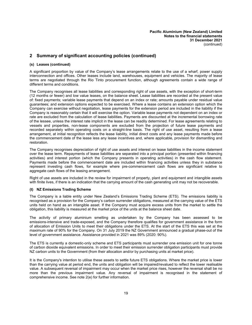# **2 Summary of significant accounting policies (continued)**

#### **(s) Leases (continued)**

A significant proportion by value of the Company's lease arrangements relate to the use of a wharf, power supply interconnection and offices. Other leases include land, warehouses, equipment and vehicles. The majority of lease terms are negotiated through the Rio Tinto procurement function, although agreements contain a wide range of different terms and conditions.

The Company recognises all lease liabilities and corresponding right of use assets, with the exception of short-term (12 months or fewer) and low value leases, on the balance sheet. Lease liabilities are recorded at the present value of: fixed payments; variable lease payments that depend on an index or rate; amounts payable under residual value guarantees; and extension options expected to be exercised. Where a lease contains an extension option which the Company can exercise without negotiation, lease payments for the extension period are included in the liability if the Company is reasonably certain that it will exercise the option. Variable lease payments not dependent on an index or rate are excluded from the calculation of lease liabilities. Payments are discounted at the incremental borrowing rate of the lessee, unless the interest rate implicit in the lease can be readily determined. For lease agreements relating to vessels and properties, non-lease components are excluded from the projection of future lease payments and recorded separately within operating costs on a straight-line basis. The right of use asset, resulting from a lease arrangement, at initial recognition reflects the lease liability, initial direct costs and any lease payments made before the commencement date of the lease less any lease incentives and, where applicable, provision for dismantling and restoration.

The Company recognises depreciation of right of use assets and interest on lease liabilities in the income statement over the lease term. Repayments of lease liabilities are separated into a principal portion (presented within financing activities) and interest portion (which the Company presents in operating activities) in the cash flow statement. Payments made before the commencement date are included within financing activities unless they in substance represent investing cash flows, for example where pre-commencement cash flows are significant relative to aggregate cash flows of the leasing arrangement.

Right of use assets are included in the review for impairment of property, plant and equipment and intangible assets with finite lives, if there is an indication that the carrying amount of the cash generating unit may not be recoverable.

#### **(t) NZ Emissions Trading Scheme**

The Company is a liable entity under New Zealand's Emissions Trading Scheme (ETS). The emissions liability is recognised as a provision for the Company's carbon surrender obligations, measured at the carrying value of the ETS units held on hand as an intangible asset. If the Company must acquire excess units from the market to settle the obligation, this liability is measured at the market price of the units at the balance sheet date.

The activity of primary aluminium smelting as undertaken by the Company has been assessed to be emissions-intensive and trade-exposed, and the Company therefore qualifies for government assistance in the form of allocation of Emission Units to meet their obligations under the ETS. At the start of the ETS this was set at the maximum rate of 90% for the Company. On 31 July 2019 the NZ Government announced a gradual phase-out of the level of government assistance. Assistance provided in 2021 was 89% (2020: 90%).

The ETS is currently a domestic-only scheme and ETS participants must surrender one emission unit for one tonne of carbon dioxide equivalent emissions. In order to meet their emission surrender obligation participants must provide NZ carbon units to the Government (from their allocation and/or by purchasing units at market price).

It is the Company's intention to utilise these assets to settle future ETS obligations. Where the market price is lower than the carrying value at period end, the units and obligation will be impaired/revalued to reflect the lower realisable value. A subsequent reversal of impairment may occur when the market price rises, however the reversal shall be no more than the previous impairment value. Any reversal of impairment is recognised in the statement of comprehensive income. See note 2(e) for further information.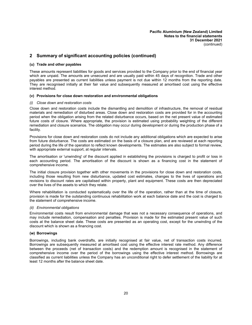# **2 Summary of significant accounting policies (continued)**

#### **(u) Trade and other payables**

These amounts represent liabilities for goods and services provided to the Company prior to the end of financial year which are unpaid. The amounts are unsecured and are usually paid within 45 days of recognition. Trade and other payables are presented as current liabilities unless payment is not due within 12 months from the reporting date. They are recognised initially at their fair value and subsequently measured at amortised cost using the effective interest method.

#### **(v) Provisions for close down restoration and environmental obligations**

#### *(i) Close down and restoration costs*

Close down and restoration costs include the dismantling and demolition of infrastructure, the removal of residual materials and remediation of disturbed areas. Close down and restoration costs are provided for in the accounting period when the obligation arising from the related disturbance occurs, based on the net present value of estimated future costs of closure. Where appropriate, the provision is estimated using probability weighting of the different remediation and closure scenarios. The obligation may occur during development or during the production phase of a facility.

Provisions for close down and restoration costs do not include any additional obligations which are expected to arise from future disturbance. The costs are estimated on the basis of a closure plan, and are reviewed at each reporting period during the life of the operation to reflect known developments. The estimates are also subject to formal review, with appropriate external support, at regular intervals.

The amortisation or 'unwinding' of the discount applied in establishing the provisions is charged to profit or loss in each accounting period. The amortisation of the discount is shown as a financing cost in the statement of comprehensive income.

The initial closure provision together with other movements in the provisions for close down and restoration costs, including those resulting from new disturbance, updated cost estimates, changes to the lives of operations and revisions to discount rates are capitalised within property, plant and equipment. These costs are then depreciated over the lives of the assets to which they relate.

Where rehabilitation is conducted systematically over the life of the operation, rather than at the time of closure, provision is made for the outstanding continuous rehabilitation work at each balance date and the cost is charged to the statement of comprehensive income.

#### *(ii) Environmental obligations*

Environmental costs result from environmental damage that was not a necessary consequence of operations, and may include remediation, compensation and penalties. Provision is made for the estimated present value of such costs at the balance sheet date. These costs are presented as an operating cost, except for the unwinding of the discount which is shown as a financing cost.

#### **(w) Borrowings**

Borrowings, including bank overdrafts, are initially recognised at fair value, net of transaction costs incurred. Borrowings are subsequently measured at amortised cost using the effective interest rate method. Any difference between the proceeds (net of transaction costs) and the redemption amount is recognised in the statement of comprehensive income over the period of the borrowings using the effective interest method. Borrowings are classified as current liabilities unless the Company has an unconditional right to defer settlement of the liability for at least 12 months after the balance sheet date.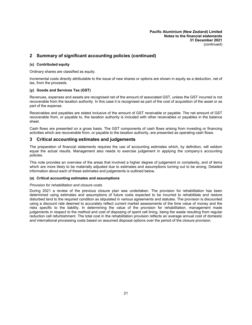# **2 Summary of significant accounting policies (continued)**

#### **(x) Contributed equity**

Ordinary shares are classified as equity.

Incremental costs directly attributable to the issue of new shares or options are shown in equity as a deduction, net of tax, from the proceeds.

#### **(y) Goods and Services Tax (GST)**

Revenues, expenses and assets are recognised net of the amount of associated GST, unless the GST incurred is not recoverable from the taxation authority. In this case it is recognised as part of the cost of acquisition of the asset or as part of the expense.

Receivables and payables are stated inclusive of the amount of GST receivable or payable. The net amount of GST recoverable from, or payable to, the taxation authority is included with other receivables or payables in the balance sheet.

Cash flows are presented on a gross basis. The GST components of cash flows arising from investing or financing activities which are recoverable from, or payable to the taxation authority, are presented as operating cash flows.

## **3 Critical accounting estimates and judgements**

The preparation of financial statements requires the use of accounting estimates which, by definition, will seldom equal the actual results. Management also needs to exercise judgement in applying the company's accounting policies.

This note provides an overview of the areas that involved a higher degree of judgement or complexity, and of items which are more likely to be materially adjusted due to estimates and assumptions turning out to be wrong. Detailed information about each of these estimates and judgements is outlined below.

#### **(a) Critical accounting estimates and assumptions**

#### *Provision for rehabilitation and closure costs*

During 2021 a review of the previous closure plan was undertaken. The provision for rehabilitation has been determined using estimates and assumptions of future costs expected to be incurred to rehabilitate and restore disturbed land to the required condition as stipulated in various agreements and statutes. The provision is discounted using a discount rate deemed to accurately reflect current market assessments of the time value of money and the risks specific to the liability. In determining the value of the provision for rehabilitation, management made judgements in respect to the method and cost of disposing of spent cell lining, being the waste resulting from regular reduction cell refurbishment. The total cost in the rehabilitation provision reflects an average annual cost of domestic and international processing costs based on assumed disposal options over the period of the closure provision.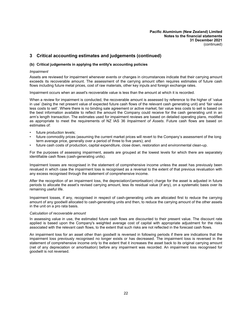# **3 Critical accounting estimates and judgements (continued)**

#### **(b) Critical judgements in applying the entity's accounting policies**

#### *Impairment*

Assets are reviewed for impairment whenever events or changes in circumstances indicate that their carrying amount exceeds its recoverable amount. The assessment of the carrying amount often requires estimates of future cash flows including future metal prices, cost of raw materials, other key inputs and foreign exchange rates.

Impairment occurs when an asset's recoverable value is less than the amount at which it is recorded.

When a review for impairment is conducted, the recoverable amount is assessed by reference to the higher of 'value in use' (being the net present value of expected future cash flows of the relevant cash generating unit) and 'fair value less costs to sell'. Where there is no binding sale agreement or active market, fair value less costs to sell is based on the best information available to reflect the amount the Company could receive for the cash generating unit in an arm's length transaction. The estimates used for impairment reviews are based on detailed operating plans, modified as appropriate to meet the requirements of NZ IAS 36 *Impairment of Assets*. Future cash flows are based on estimates of:

- future production levels;
- future commodity prices (assuming the current market prices will revert to the Company's assessment of the long term average price, generally over a period of three to five years); and
- future cash costs of production, capital expenditure, close down, restoration and environmental clean-up.

For the purposes of assessing impairment, assets are grouped at the lowest levels for which there are separately identifiable cash flows (cash-generating units).

Impairment losses are recognised in the statement of comprehensive income unless the asset has previously been revalued in which case the impairment loss is recognised as a reversal to the extent of that previous revaluation with any excess recognised through the statement of comprehensive income.

After the recognition of an impairment loss, the depreciation/(amortisation) charge for the asset is adjusted in future periods to allocate the asset's revised carrying amount, less its residual value (if any), on a systematic basis over its remaining useful life.

Impairment losses, if any, recognised in respect of cash-generating units are allocated first to reduce the carrying amount of any goodwill allocated to cash-generating units and then, to reduce the carrying amount of the other assets in the unit on a pro rata basis.

#### *Calculation of recoverable amount*

In assessing value in use, the estimated future cash flows are discounted to their present value. The discount rate applied is based upon the Company's weighted average cost of capital with appropriate adjustment for the risks associated with the relevant cash flows, to the extent that such risks are not reflected in the forecast cash flows.

An impairment loss for an asset other than goodwill is reversed in following periods if there are indications that the impairment loss previously recognised no longer exists or has decreased. The impairment loss is reversed in the statement of comprehensive income only to the extent that it increases the asset back to its original carrying amount (net of any depreciation or amortisation) before any impairment was recorded. An impairment loss recognised for goodwill is not reversed.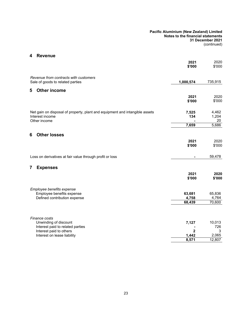# **4 Revenue**

|                                                                                                                | 2021<br>\$'000       | 2020<br>\$'000       |
|----------------------------------------------------------------------------------------------------------------|----------------------|----------------------|
| Revenue from contracts with customers<br>Sale of goods to related parties                                      | 1,000,574            | 735,915              |
| <b>Other income</b><br>5                                                                                       |                      |                      |
|                                                                                                                | 2021<br>\$'000       | 2020<br>\$'000       |
| Net gain on disposal of property, plant and equipment and intangible assets<br>Interest income<br>Other income | 7,525<br>134         | 4,462<br>1,204<br>20 |
|                                                                                                                | 7,659                | 5,686                |
| 6<br><b>Other losses</b>                                                                                       |                      |                      |
|                                                                                                                | 2021                 | 2020                 |
|                                                                                                                | \$'000               | \$'000               |
| Loss on derivatives at fair value through profit or loss                                                       |                      | 59,478               |
| <b>Expenses</b><br>7                                                                                           |                      |                      |
|                                                                                                                | 2021<br>\$'000       | 2020<br>\$'000       |
| Employee benefits expense<br>Employee benefits expense                                                         | 63,681               | 65,836               |
| Defined contribution expense                                                                                   | 4,758<br>68,439      | 4,764<br>70,600      |
|                                                                                                                |                      |                      |
| Finance costs<br>Unwinding of discount                                                                         | 7,127                | 10,013               |
| Interest paid to related parties                                                                               |                      | 726                  |
| Interest paid to others<br>Interest on lease liability                                                         | $\mathbf 2$<br>1,442 | 3<br>2,065           |
|                                                                                                                | 8,571                | 12,807               |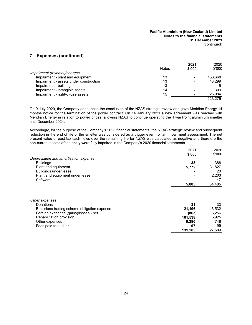# **7 Expenses (continued)**

|                                        | <b>Notes</b> | 2021<br>\$'000 | 2020<br>\$'000 |
|----------------------------------------|--------------|----------------|----------------|
| Impairment (reversal)/charges          |              |                |                |
| Impairment - plant and equipment       | 13           |                | 153.668        |
| Impairment - assets under construction | 13           |                | 43.299         |
| Impairment - buildings                 | 13           |                | 15             |
| Impairment - intangible assets         | 14           |                | 309            |
| Impairment - right-of-use assets       | 15           |                | 25.984         |
|                                        |              |                | 223.275        |

On 9 July 2020, the Company announced the conclusion of the NZAS strategic review and gave Meridian Energy 14 months notice for the termination of the power contract. On 14 January 2021 a new agreement was reached with Meridian Energy in relation to power prices, allowing NZAS to continue operating the Tiwai Point aluminium smelter until December 2024.

Accordingly, for the purpose of the Company's 2020 financial statements, the NZAS strategic review and subsequent reduction in the end of life of the smelter was considered as a trigger event for an impairment assessment. The net present value of post-tax cash flows over the remaining life for NZAS was calculated as negative and therefore the non-current assets of the entity were fully impaired in the Company's 2020 financial statements.

|                                       | 2021   | 2020   |
|---------------------------------------|--------|--------|
|                                       | \$'000 | \$'000 |
| Depreciation and amortisation expense |        |        |
| <b>Buildings</b>                      | 33     | 388    |
| Plant and equipment                   | 5,772  | 31,827 |
| Buildings under lease                 |        | 20     |
| Plant and equipment under lease       |        | 2,203  |
| Software                              |        | 47     |
|                                       | 5,805  | 34,485 |
|                                       |        |        |
|                                       |        |        |

| Other expenses                              |         |        |
|---------------------------------------------|---------|--------|
| Donations                                   | 31      | 33     |
| Emissions trading scheme obligation expense | 21.196  | 13.532 |
| Foreign exchange (gains)/losses - net       | (863)   | 6.256  |
| Rehabilitation provision                    | 101.538 | 6.925  |
| Other expenses                              | 9.286   | 748    |
| Fees paid to auditor                        | 97      | 95     |
|                                             | 131.285 | 27.589 |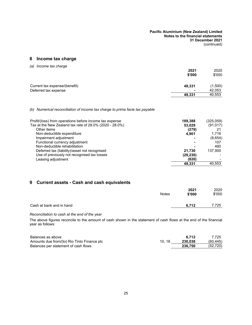# **8 Income tax charge**

|                               | 2021                     | 2020    |
|-------------------------------|--------------------------|---------|
|                               | \$'000                   | \$'000  |
| Current tax expense/(benefit) | 49,331                   | (1,500) |
| Deferred tax expense          | $\overline{\phantom{0}}$ | 42,053  |
|                               | 49,331                   | 40,553  |

#### *(b) Numerical reconciliation of income tax charge to prima facie tax payable*

| Profit/(loss) from operations before income tax expense | 189.388   | (325,059) |
|---------------------------------------------------------|-----------|-----------|
| Tax at the New Zealand tax rate of 28.0% (2020 - 28.0%) | 53.029    | (91, 017) |
| Other items                                             | (279)     |           |
| Non-deductible expenditure                              | 4.901     | 1.716     |
| Impairment adjustment                                   |           | (8,654)   |
| Functional currency adjustment                          |           | 107       |
| Non-deductible rehabilitation                           |           | 480       |
| Deferred tax (liability)/asset not recognised           | 21.730    | 137.900   |
| Use of previously not recognised tax losses             | (29, 230) |           |
| Leasing adjustment                                      | (820)     |           |
|                                                         | 49.331    | 40.553    |

# **9 Current assets - Cash and cash equivalents**

|                          | Notes | 2021<br>\$'000 | 2020<br>\$'000 |
|--------------------------|-------|----------------|----------------|
| Cash at bank and in hand |       | 6.712          | 7,725          |

#### *Reconciliation to cash at the end of the year*

The above figures reconcile to the amount of cash shown in the statement of cash flows at the end of the financial year as follows:

| Balances as above                           |       | 6.712   | 7.725     |
|---------------------------------------------|-------|---------|-----------|
| Amounts due from/(to) Rio Tinto Finance plc | 10.18 | 230.038 | (60, 445) |
| Balances per statement of cash flows        |       | 236,750 | (52, 720) |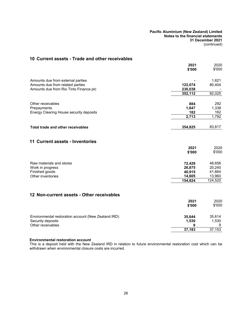# <span id="page-27-0"></span>**10 Current assets - Trade and other receivables**

|                                                                       | 2021<br>\$'000     | 2020<br>\$'000 |
|-----------------------------------------------------------------------|--------------------|----------------|
|                                                                       |                    |                |
| Amounts due from external parties<br>Amounts due from related parties |                    | 1,621          |
| Amounts due from Rio Tinto Finance plc                                | 122,074<br>230,038 | 80,404         |
|                                                                       | 352,112            | 82,025         |
|                                                                       |                    |                |
| Other receivables                                                     | 884                | 292            |
| Prepayments                                                           | 1,647              | 1,338          |
| Energy Clearing House security deposits                               | 182                | 162            |
|                                                                       | $\overline{2,713}$ | 1,792          |
| <b>Total trade and other receivables</b>                              | 354,825            | 83,817         |
| <b>11 Current assets - Inventories</b>                                | 2021<br>\$'000     | 2020<br>\$'000 |
| Raw materials and stores                                              | 72,429             | 48,656         |
| Work in progress                                                      | 26,875             | 20,240         |
| Finished goods                                                        | 40,915             | 41,664         |
| Other inventories                                                     | 14,605             | 13,960         |
|                                                                       | 154,824            | 124,520        |
| 12 Non-current assets - Other receivables                             |                    |                |
|                                                                       | 2021               | 2020           |
|                                                                       | \$'000             | \$'000         |
| Environmental restoration account (New Zealand IRD)                   | 35,644             | 35,614         |
| Security deposits                                                     | 1,530              | 1,530          |
| Other receivables                                                     | 9                  | 9              |
|                                                                       | 37,183             | 37,153         |

#### **Environmental restoration account**

This is a deposit held with the New Zealand IRD in relation to future environmental restoration cost which can be withdrawn when environmental closure costs are incurred.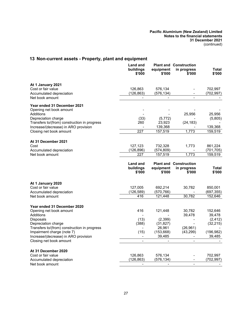# <span id="page-28-0"></span>**13 Non-current assets - Property, plant and equipment**

|                                                                                      | <b>Land and</b><br>buildings<br>\$'000 | equipment<br>\$'000   | <b>Plant and Construction</b><br>in progress<br>\$'000 | Total<br>\$'000      |
|--------------------------------------------------------------------------------------|----------------------------------------|-----------------------|--------------------------------------------------------|----------------------|
| At 1 January 2021<br>Cost or fair value                                              |                                        |                       |                                                        | 702,997              |
| Accumulated depreciation                                                             | 126,863<br>(126,863)                   | 576,134<br>(576,134)  |                                                        | (702,997)            |
| Net book amount                                                                      |                                        |                       |                                                        |                      |
| Year ended 31 December 2021                                                          |                                        |                       |                                                        |                      |
| Opening net book amount                                                              |                                        |                       |                                                        |                      |
| Additions                                                                            |                                        |                       | 25,956                                                 | 25,956               |
| Depreciation charge                                                                  | (33)                                   | (5, 772)              |                                                        | (5,805)              |
| Transfers to/(from) construction in progress<br>Increase/(decrease) in ARO provision | 260                                    | 23,923<br>139,368     | (24, 183)                                              | 139,368              |
| Closing net book amount                                                              | 227                                    | 157,519               | 1,773                                                  | 159,519              |
|                                                                                      |                                        |                       |                                                        |                      |
| At 31 December 2021                                                                  |                                        |                       |                                                        |                      |
| Cost                                                                                 | 127,123                                | 732,328               | 1,773                                                  | 861,224              |
| Accumulated depreciation<br>Net book amount                                          | (126, 896)<br>227                      | (574, 809)<br>157,519 | 1,773                                                  | (701,705)<br>159,519 |
|                                                                                      |                                        |                       |                                                        |                      |
|                                                                                      | Land and                               |                       | <b>Plant and Construction</b>                          |                      |
|                                                                                      | buildings                              | equipment             | in progress                                            | <b>Total</b>         |
|                                                                                      | \$'000                                 | \$'000                | \$'000                                                 | \$'000               |
| At 1 January 2020                                                                    |                                        |                       |                                                        |                      |
| Cost or fair value                                                                   | 127,005                                | 692,214               | 30,782                                                 | 850,001              |
| Accumulated depreciation                                                             | (126, 589)                             | (570, 766)            |                                                        | (697, 355)           |
| Net book amount                                                                      | 416                                    | 121,448               | 30,782                                                 | 152,646              |
|                                                                                      |                                        |                       |                                                        |                      |
| Year ended 31 December 2020                                                          |                                        |                       |                                                        |                      |
| Opening net book amount                                                              | 416                                    | 121,448               | 30,782                                                 | 152,646              |
| Additions<br>Disposals                                                               | (13)                                   | (2, 399)              | 39,478                                                 | 39,478<br>(2, 412)   |
| Depreciation charge                                                                  | (388)                                  | (31, 827)             |                                                        | (32, 215)            |
| Transfers to/(from) construction in progress                                         |                                        | 26,961                | (26, 961)                                              |                      |
| Impairment charge (note 7)                                                           | (15)                                   | (153, 668)            | (43, 299)                                              | (196, 982)           |
| Increase/(decrease) in ARO provision                                                 | $\overline{\phantom{0}}$               | 39,485                |                                                        | 39,485               |
| Closing net book amount                                                              | $\blacksquare$                         | $\blacksquare$        | $\blacksquare$                                         |                      |
| At 31 December 2020                                                                  |                                        |                       |                                                        |                      |
| Cost or fair value                                                                   | 126,863                                | 576,134               |                                                        | 702,997              |
| Accumulated depreciation                                                             | (126, 863)                             | (576,134)             | $\overline{\phantom{0}}$                               | (702,997)            |
| Net book amount                                                                      |                                        |                       |                                                        |                      |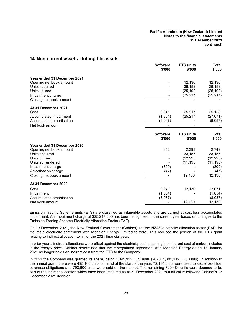## <span id="page-29-0"></span>**14 Non-current assets - Intangible assets**

|                             | <b>Software</b><br>\$'000 | <b>ETS units</b><br>\$'000 | Total<br>\$'000 |
|-----------------------------|---------------------------|----------------------------|-----------------|
| Year ended 31 December 2021 |                           |                            |                 |
| Opening net book amount     |                           | 12,130                     | 12,130          |
| Units acquired              |                           | 38,189                     | 38,189          |
| Units utilised              |                           | (25, 102)                  | (25, 102)       |
| Impairment charge           |                           | (25, 217)                  | (25, 217)       |
| Closing net book amount     |                           |                            |                 |
| At 31 December 2021         |                           |                            |                 |
| Cost                        | 9,941                     | 25,217                     | 35,158          |
| Accumulated impairment      | (1,854)                   | (25, 217)                  | (27, 071)       |
| Accumulated amortisation    | (8,087)                   |                            | (8,087)         |
| Net book amount             |                           |                            |                 |
|                             | <b>Software</b>           | <b>ETS units</b>           | Total           |
|                             | \$'000                    | \$'000                     | \$'000          |
| Year ended 31 December 2020 |                           |                            |                 |
| Opening net book amount     | 356                       | 2,393                      | 2,749           |
| Units acquired              |                           | 33,157                     | 33,157          |
| Units utilised              |                           | (12, 225)                  | (12, 225)       |
| Units surrendered           |                           | (11, 195)                  | (11, 195)       |
| Impairment charge           | (309)                     |                            | (309)           |
| Amortisation charge         | (47)                      |                            | (47)            |
| Closing net book amount     |                           | 12,130                     | 12,130          |
| At 31 December 2020         |                           |                            |                 |
| Cost                        | 9,941                     | 12,130                     | 22,071          |
| Impairment                  | (1, 854)                  |                            | (1,854)         |
| Accumulated amortisation    | (8,087)                   |                            | (8,087)         |
| Net book amount             |                           | 12,130                     | 12,130          |

Emission Trading Scheme units (ETS) are classified as intangible assets and are carried at cost less accumulated impairment. An impairment charge of \$25,217,000 has been recognised in the current year based on changes to the Emission Trading Scheme Electricity Allocation Factor (EAF).

On 13 December 2021, the New Zealand Government (Cabinet) set the NZAS electricity allocation factor (EAF) for the main electricity agreement with Meridian Energy Limited to zero. This reduced the portion of the ETS grant relating to indirect allocation to nil for the 2021 financial year.

In prior years, indirect allocations were offset against the electricity cost matching the inherent cost of carbon included in the energy price. Cabinet determined that the renegotiated agreement with Meridian Energy dated 13 January 2021 no longer holds an indirect cost from the ETS to the Company.

In 2021 the Company was granted its share, being 1,091,112 ETS units (2020: 1,391,112 ETS units). In addition to the annual grant, there were 495,106 units on hand at the start of the year, 72,134 units were used to settle fossil fuel purchase obligations and 793,600 units were sold on the market. The remaining 720,484 units were deemed to be part of the indirect allocation which have been impaired as at 31 December 2021 to a nil value following Cabinet's 13 December 2021 decision.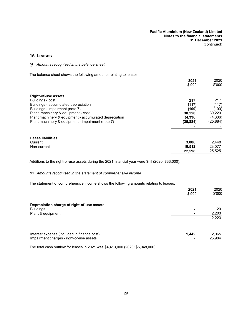### <span id="page-30-0"></span>**15 Leases**

#### *(i) Amounts recognised in the balance sheet*

The balance sheet shows the following amounts relating to leases:

|                                                        | 2021      | 2020      |
|--------------------------------------------------------|-----------|-----------|
|                                                        | \$'000    | \$'000    |
| <b>Right-of-use assets</b>                             |           |           |
| Buildings - cost                                       | 217       | 217       |
|                                                        |           |           |
| Buildings - accumulated depreciation                   | (117)     | (117)     |
| Buildings - impairment (note 7)                        | (100)     | (100)     |
| Plant, machinery & equipment - cost                    | 30.220    | 30,220    |
| Plant machinery & equipment - accumulated depreciation | (4,336)   | (4,336)   |
| Plant machinery & equipment - impairment (note 7)      | (25, 884) | (25, 884) |
|                                                        |           |           |

| Lease liabilities |        |        |
|-------------------|--------|--------|
| Current           | 3.086  | 2.448  |
| Non-current       | 19.512 | 23.077 |
|                   | 22.598 | 25,525 |

Additions to the right-of-use assets during the 2021 financial year were \$nil (2020: \$33,000).

#### *(ii) Amounts recognised in the statement of comprehensive income*

The statement of comprehensive income shows the following amounts relating to leases:

|                                             | 2021<br>\$'000 | 2020<br>\$'000 |
|---------------------------------------------|----------------|----------------|
| Depreciation charge of right-of-use assets  |                |                |
| <b>Buildings</b>                            |                | 20             |
| Plant & equipment                           |                | 2,203          |
|                                             |                | 2,223          |
| Interest expense (included in finance cost) | 1,442          | 2,065          |
| Impairment charges - right-of-use assets    |                | 25.984         |

The total cash outflow for leases in 2021 was \$4,413,000 (2020: \$5,048,000).

Impairment charges - right-of-use assets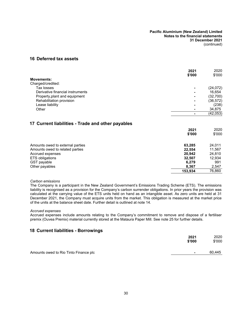# **16 Deferred tax assets**

|                                  | 2021<br>\$'000 | 2020<br>\$'000 |
|----------------------------------|----------------|----------------|
| <b>Movements:</b>                |                |                |
| Charged/credited:                |                |                |
| Tax losses                       |                | (24, 072)      |
| Derivative financial instruments |                | 16,654         |
| Property, plant and equipment    |                | (32,700)       |
| Rehabilitation provision         |                | (36, 572)      |
| Lease liability                  |                | (238)          |
| Other                            |                | 34,875         |
|                                  |                | (42, 053)      |
|                                  |                |                |

# <span id="page-31-1"></span>**17 Current liabilities - Trade and other payables**

|                                  | 2021    | 2020   |
|----------------------------------|---------|--------|
|                                  | \$'000  | \$'000 |
| Amounts owed to external parties | 63,285  | 24,011 |
| Amounts owed to related parties  | 22,554  | 11,567 |
| Accrued expenses                 | 20.942  | 24,810 |
| <b>ETS</b> obligations           | 32.507  | 12,934 |
| GST payable                      | 6.279   | 991    |
| Other payables                   | 8,367   | 2,547  |
|                                  | 153,934 | 76,860 |

#### *Carbon emissions*

The Company is a participant in the New Zealand Government's Emissions Trading Scheme (ETS). The emissions liability is recognised as a provision for the Company's carbon surrender obligations. In prior years the provision was calculated at the carrying value of the ETS units held on hand as an intangible asset. As zero units are held at 31 December 2021, the Company must acquire units from the market. This obligation is measured at the market price of the units at the balance sheet date. Further detail is outlined at note 14.

#### *Accrued expenses*

<span id="page-31-0"></span>Accrued expenses include amounts relating to the Company's commitment to remove and dispose of a fertiliser premix (Ouvea Premix) material currently stored at the Mataura Paper Mill. See note 25 for further details.

## **18 Current liabilities - Borrowings**

|                                       | 2021<br>\$'000 | 2020<br>\$'000 |
|---------------------------------------|----------------|----------------|
| Amounts owed to Rio Tinto Finance plc | $\blacksquare$ | 60.445         |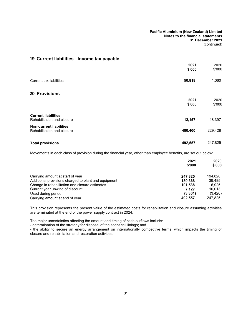# **19 Current liabilities - Income tax payable**

|                                                              | 2021<br>\$'000 | 2020<br>\$'000 |
|--------------------------------------------------------------|----------------|----------------|
| Current tax liabilities                                      | 50,818         | 1,060          |
| <b>20 Provisions</b>                                         |                |                |
|                                                              | 2021<br>\$'000 | 2020<br>\$'000 |
| <b>Current liabilities</b><br>Rehabilitation and closure     | 12,157         | 18,397         |
| <b>Non-current liabilities</b><br>Rehabilitation and closure | 480,400        | 229,428        |
| <b>Total provisions</b>                                      | 492,557        | 247,825        |

Movements in each class of provision during the financial year, other than employee benefits, are set out below:

|                                                      | 2021<br>\$'000 | 2020<br>\$'000 |
|------------------------------------------------------|----------------|----------------|
| Carrying amount at start of year                     | 247.825        | 194.828        |
| Additional provisions charged to plant and equipment | 139.368        | 39.485         |
| Change in rehabilitation and closure estimates       | 101.538        | 6.925          |
| Current year unwind of discount                      | 7.127          | 10.013         |
| Used during period                                   | (3.301)        | (3, 426)       |
| Carrying amount at end of year                       | 492.557        | 247,825        |

This provision represents the present value of the estimated costs for rehabilitation and closure assuming activities are terminated at the end of the power supply contract in 2024.

The major uncertainties affecting the amount and timing of cash outflows include:

- determination of the strategy for disposal of the spent cell linings; and

- the ability to secure an energy arrangement on internationally competitive terms, which impacts the timing of closure and rehabilitation and restoration activities.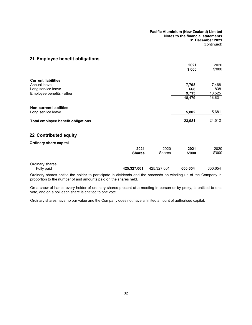# **21 Employee benefit obligations**

|                                                      |                       |                | 2021<br>\$'000 | 2020<br>\$'000 |
|------------------------------------------------------|-----------------------|----------------|----------------|----------------|
| <b>Current liabilities</b>                           |                       |                |                |                |
| Annual leave                                         |                       |                | 7,798          | 7,468          |
| Long service leave                                   |                       |                | 668            | 838            |
| Employee benefits - other                            |                       |                | 9,713          | 10,525         |
|                                                      |                       |                | 18,179         | 18,831         |
| <b>Non-current liabilities</b><br>Long service leave |                       |                | 5,802          | 5,681          |
|                                                      |                       |                |                |                |
| Total employee benefit obligations                   |                       |                | 23,981         | 24,512         |
| 22 Contributed equity                                |                       |                |                |                |
| <b>Ordinary share capital</b>                        |                       |                |                |                |
|                                                      | 2021<br><b>Shares</b> | 2020<br>Shares | 2021<br>\$'000 | 2020<br>\$'000 |
| Ordinary shares<br>Fully paid                        | 425,327,001           | 425,327,001    | 600,654        | 600,654        |
|                                                      |                       |                |                |                |

Ordinary shares entitle the holder to participate in dividends and the proceeds on winding up of the Company in proportion to the number of and amounts paid on the shares held.

On a show of hands every holder of ordinary shares present at a meeting in person or by proxy, is entitled to one vote, and on a poll each share is entitled to one vote.

Ordinary shares have no par value and the Company does not have a limited amount of authorised capital.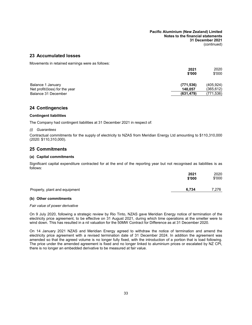## **23 Accumulated losses**

Movements in retained earnings were as follows:

|                                | 2021       | 2020       |
|--------------------------------|------------|------------|
|                                | \$'000     | \$'000     |
| Balance 1 January              | (771, 536) | (405, 924) |
| Net profit/(loss) for the year | 140.057    | (365,612)  |
| Balance 31 December            | (631, 479) | (771,536)  |

# **24 Contingencies**

#### **Contingent liabilities**

The Company had contingent liabilities at 31 December 2021 in respect of:

#### *(i) Guarantees*

Contractual commitments for the supply of electricity to NZAS from Meridian Energy Ltd amounting to \$110,310,000 (2020: \$110,310,000).

# **25 Commitments**

#### **(a) Capital commitments**

Significant capital expenditure contracted for at the end of the reporting year but not recognised as liabilities is as follows:

|                               | 2021<br>\$'000 | 2020<br>\$'000 |
|-------------------------------|----------------|----------------|
| Property, plant and equipment | 6.734          | 7,276          |

## **(b) Other commitments**

#### *Fair value of power derivative*

On 9 July 2020, following a strategic review by Rio Tinto, NZAS gave Meridian Energy notice of termination of the electricity price agreement, to be effective on 31 August 2021, during which time operations at the smelter were to wind down. This has resulted in a nil valuation for the 50MW Contract for Difference as at 31 December 2020.

On 14 January 2021 NZAS and Meridian Energy agreed to withdraw the notice of termination and amend the electricity price agreement with a revised termination date of 31 December 2024. In addition the agreement was amended so that the agreed volume is no longer fully fixed, with the introduction of a portion that is load following. The price under the amended agreement is fixed and no longer linked to aluminium prices or escalated by NZ CPI, there is no longer an embedded derivative to be measured at fair value.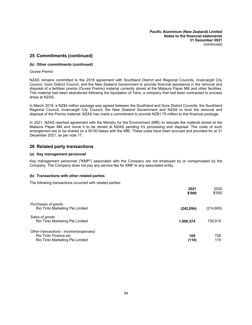# **25 Commitments (continued)**

#### **(b) Other commitments (continued)**

#### *Ouvea Premix*

NZAS remains committed to the 2018 agreement with Southland District and Regional Councils, Invercargill City Council, Gore District Council, and the New Zealand Government to provide financial assistance in the removal and disposal of a fertiliser premix (Ouvea Premix) material currently stored at the Mataura Paper Mill and other facilities. This material had been abandoned following the liquidation of Taha, a company that had been contracted to process dross at NZAS.

In March 2018, a NZ\$4 million package was agreed between the Southland and Gore District Councils, the Southland Regional Council, Invercargill City Council, the New Zealand Government and NZAS to fund the removal and disposal of the Premix material. NZAS has made a commitment to provide NZ\$1.75 million to this financial package.

In 2021, NZAS reached agreement with the Ministry for the Environment (MfE) to relocate the material stored at the Mataura Paper Mill and move it to be stored at NZAS pending it's processing and disposal. The costs of such arrangement are to be shared on a 50:50 bases with the MfE. These costs have been accrued and provided for at 31 December 2021, as per note [17](#page-31-1).

# **26 Related party transactions**

#### **(a) Key management personnel**

Key management personnel ("KMP") associated with the Company are not employed by or compensated by the Company. The Company does not pay any service fee for KMP to any associated entity.

#### **(b) Transactions with other related parties**

The following transactions occurred with related parties:

|                                        | 2021<br>\$'000 | 2020<br>\$'000 |
|----------------------------------------|----------------|----------------|
| Purchases of goods                     |                |                |
| Rio Tinto Marketing Pte Limited        | (242, 854)     | (214,665)      |
| Sales of goods                         |                |                |
| Rio Tinto Marketing Pte Limited        | 1,000,574      | 735,915        |
| Other transactions - income/(expenses) |                |                |
| Rio Tinto Finance plc                  | 100            | 726            |
| Rio Tinto Marketing Pte Limited        | (110)          | 115            |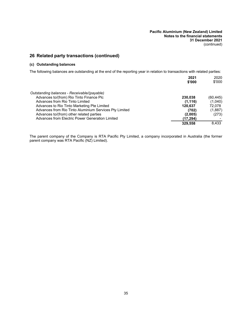# **26 Related party transactions (continued)**

# **(c) Outstanding balances**

The following balances are outstanding at the end of the reporting year in relation to transactions with related parties:

|                                                        | 2021     | 2020     |
|--------------------------------------------------------|----------|----------|
|                                                        | \$'000   | \$'000   |
| Outstanding balances - Receivable/(payable)            |          |          |
| Advances to/(from) Rio Tinto Finance Plc               | 230.038  | (60,445) |
| Advances from Rio Tinto Limited                        | (1, 116) | (1,040)  |
| Advances to Rio Tinto Marketing Pte Limited            | 120,637  | 72.078   |
| Advances from Rio Tinto Aluminium Services Pty Limited | (702)    | (1,887)  |
| Advances to/(from) other related parties               | (2,005)  | (273)    |
| Advances from Electric Power Generation Limited        | (17,294) |          |
|                                                        | 329.558  | 8.433    |
|                                                        |          |          |

The parent company of the Company is RTA Pacific Pty Limited, a company incorporated in Australia (the former parent company was RTA Pacific (NZ) Limited).